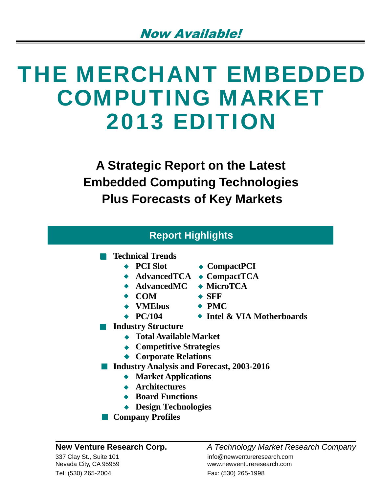# THE MERCHANT EMBEDDED COMPUTING MARKET 2013 EDITION

**A Strategic Report on the Latest Embedded Computing Technologies Plus Forecasts of Key Markets**

| <b>Report Highlights</b>                         |                                    |  |  |
|--------------------------------------------------|------------------------------------|--|--|
| <b>Technical Trends</b>                          |                                    |  |  |
| $\bullet$ PCI Slot                               | $\bullet$ CompactPCI               |  |  |
| $\blacktriangleright$ AdvancedTCA                | $\bullet$ CompactTCA               |  |  |
| $\bullet$ AdvancedMC                             | $\blacklozenge$ MicroTCA           |  |  |
| $\bullet$ COM                                    | $\bullet$ SFF                      |  |  |
| $\leftrightarrow$ VMEbus                         | $\div$ PMC                         |  |  |
| $\div$ PC/104                                    | $\bullet$ Intel & VIA Motherboards |  |  |
| <b>Industry Structure</b>                        |                                    |  |  |
| $\bullet$ Total Available Market                 |                                    |  |  |
| <b>Competitive Strategies</b>                    |                                    |  |  |
| <b>Corporate Relations</b>                       |                                    |  |  |
| <b>Industry Analysis and Forecast, 2003-2016</b> |                                    |  |  |
| <b>Market Applications</b>                       |                                    |  |  |
| <b>Architectures</b>                             |                                    |  |  |
|                                                  |                                    |  |  |

- **Board Functions**
- **Design Technologies**
- **Company Profiles**

Tel: (530) 265-2004 Fax: (530) 265-1998

#### **New Venture Research Corp.** *A Technology Market Research Company* 337 Clay St., Suite 101 **implementureresearch.com** info@newventureresearch.com Nevada City, CA 95959 www.newventureresearch.com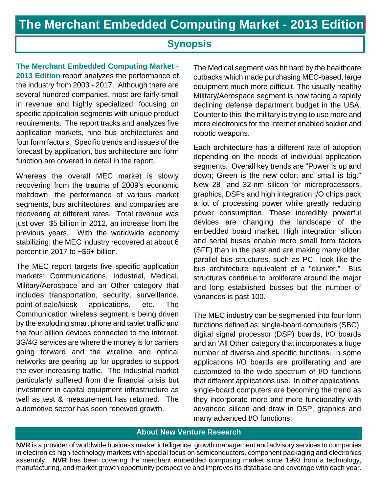### **Synopsis**

**The Merchant Embedded Computing Market - 2013 Edition** report analyzes the performance of the industry from 2003 - 2017. Although there are several hundred companies, most are fairly small in revenue and highly specialized, focusing on specific application segments with unique product requirements. The report tracks and analyzes five application markets, nine bus architectures and four form factors. Specific trends and issues of the forecast by application, bus architecture and form function are covered in detail in the report.

Whereas the overall MEC market is slowly recovering from the trauma of 2009's economic meltdown, the performance of various market segments, bus architectures, and companies are recovering at different rates. Total revenue was just over \$5 billion in 2012, an increase from the previous years. With the worldwide economy stabilizing, the MEC industry recovered at about 6 percent in 2017 to ~\$6+ billion.

The MEC report targets five specific application markets: Communications, Industrial, Medical, Military/Aerospace and an Other category that includes transportation, security, surveillance, point-of-sale/kiosk applications, etc. The Communication wireless segment is being driven by the exploding smart phone and tablet traffic and the four billion devices connected to the internet. 3G/4G services are where the money is for carriers going forward and the wireline and optical networks are gearing up for upgrades to support the ever increasing traffic. The Industrial market particularly suffered from the financial crisis but investment in capital equipment infrastructure as well as test & measurement has returned. The automotive sector has seen renewed growth.

The Medical segment was hit hard by the healthcare cutbacks which made purchasing MEC-based, large equipment much more difficult. The usually healthy Military/Aerospace segment is now facing a rapidly declining defense department budget in the USA. Counter to this, the military is trying to use more and more electronics for the Internet enabled soldier and robotic weapons.

Each architecture has a different rate of adoption depending on the needs of individual application segments. Overall key trends are "Power is up and down; Green is the new color; and small is big." New 28- and 32-nm silicon for microprocessors, graphics, DSPs and high integration I/O chips pack a lot of processing power while greatly reducing power consumption. These incredibly powerful devices are changing the landscape of the embedded board market. High integration silicon and serial buses enable more small form factors (SFF) than in the past and are making many older, parallel bus structures, such as PCI, look like the bus architecture equivalent of a "clunker." Bus structures continue to proliferate around the major and long established busses but the number of variances is past 100.

The MEC industry can be segmented into four form functions defined as: single-board computers (SBC), digital signal processor (DSP) boards, I/O boards and an 'All Other' category that incorporates a huge number of diverse and specific functions. In some applications I/O boards are proliferating and are customized to the wide spectrum of I/O functions that different applications use. In other applications, single-board computers are becoming the trend as they incorporate more and more functionality with advanced silicon and draw in DSP, graphics and many advanced I/O functions.

#### **About New Venture Research**

**NVR** is a provider of worldwide business market intelligence, growth management and advisory services to companies in electronics high-technology markets with special focus on semiconductors, component packaging and electronics assembly. **NVR** has been covering the merchant embedded computing market since 1993 from a technology, manufacturing, and market growth opportunity perspective and improves its database and coverage with each year.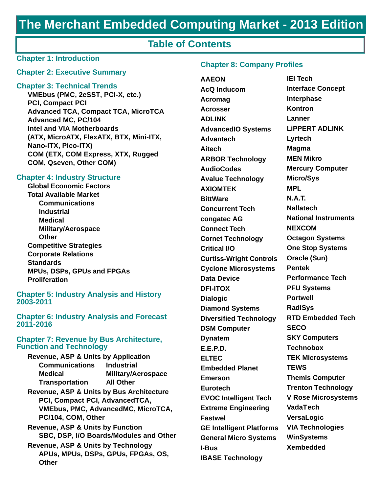## **The Merchant Embedded Computing Market - 2013 Edition**

#### **Table of Contents**

#### **Chapter 1: Introduction**

#### **Chapter 2: Executive Summary**

#### **Chapter 3: Technical Trends**

**VMEbus (PMC, 2eSST, PCI-X, etc.) PCI, Compact PCI Advanced TCA, Compact TCA, MicroTCA Advanced MC, PC/104 Intel and VIA Motherboards (ATX, MicroATX, FlexATX, BTX, Mini-ITX, Nano-ITX, Pico-ITX) COM (ETX, COM Express, XTX, Rugged COM, Qseven, Other COM)**

#### **Chapter 4: Industry Structure**

**Global Economic Factors Total Available Market Communications Industrial Medical Military/Aerospace Other Competitive Strategies Corporate Relations Standards MPUs, DSPs, GPUs and FPGAs Proliferation**

#### **Chapter 5: Industry Analysis and History 2003-2011**

**Chapter 6: Industry Analysis and Forecast 2011-2016**

#### **Chapter 7: Revenue by Bus Architecture, Function and Technology**

| <b>Revenue, ASP &amp; Units by Application</b> |                           |
|------------------------------------------------|---------------------------|
| <b>Communications</b>                          | <b>Industrial</b>         |
| <b>Medical</b>                                 | <b>Military/Aerospace</b> |
| <b>Transportation</b>                          | <b>All Other</b>          |
| Revenue, ASP & Units by Bus Architecture       |                           |
| <b>DOL Compact DOL Advents JTOA</b>            |                           |

- **PCI, Compact PCI, AdvancedTCA, VMEbus, PMC, AdvancedMC, MicroTCA, PC/104, COM, Other**
- **Revenue, ASP & Units by Function SBC, DSP, I/O Boards/Modules and Other**
- **Revenue, ASP & Units by Technology APUs, MPUs, DSPs, GPUs, FPGAs, OS, Other**

#### **Chapter 8: Company Profiles**

**AAEON AcQ Inducom Acromag Acrosser ADLINK AdvancedIO Systems Advantech Aitech ARBOR Technology AudioCodes Avalue Technology AXIOMTEK BittWare Concurrent Tech congatec AG Connect Tech Cornet Technology Critical I/O Curtiss-Wright Controls Cyclone Microsystems Data Device DFI-ITOX Dialogic Diamond Systems Diversified Technology DSM Computer Dynatem E.E.P.D. ELTEC Embedded Planet Emerson Eurotech EVOC Intelligent Tech Extreme Engineering Fastwel GE Intelligent Platforms General Micro Systems I-Bus IBASE Technology**

**IEI Tech Interface Concept Interphase Kontron Lanner LiPPERT ADLINK Lyrtech Magma MEN Mikro Mercury Computer Micro/Sys MPL N.A.T. Nallatech National Instruments NEXCOM Octagon Systems One Stop Systems Oracle (Sun) Pentek Performance Tech PFU Systems Portwell RadiSys RTD Embedded Tech SECO SKY Computers Technobox TEK Microsystems TEWS Themis Computer Trenton Technology V Rose Microsystems VadaTech VersaLogic VIA Technologies WinSystems Xembedded**